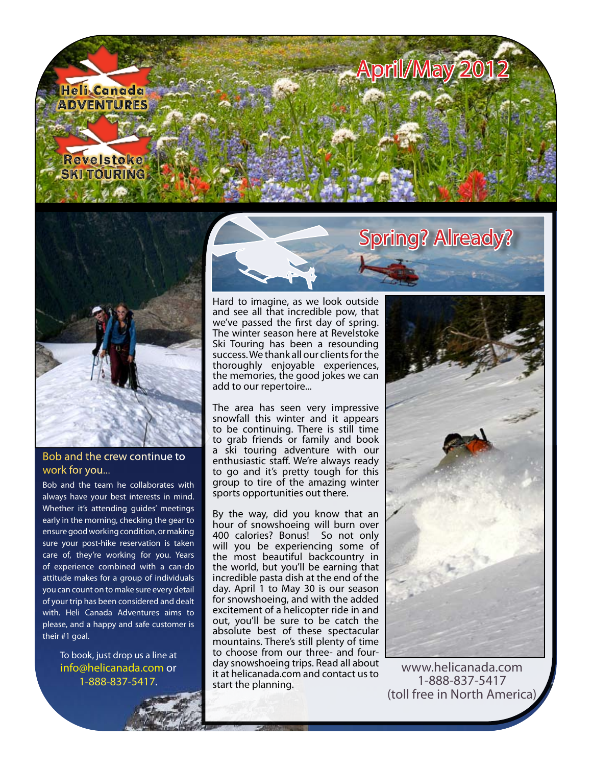



## Bob and the crew continue to work for you...

Bob and the team he collaborates with always have your best interests in mind. Whether it's attending guides' meetings early in the morning, checking the gear to ensure good working condition, or making sure your post-hike reservation is taken care of, they're working for you. Years of experience combined with a can-do attitude makes for a group of individuals you can count on to make sure every detail of your trip has been considered and dealt with. Heli Canada Adventures aims to please, and a happy and safe customer is their #1 goal.

To book, just drop us a line at [info@helicanada.com](mailto:info@helicanada.com) or 1-888-837-5417.



Hard to imagine, as we look outside and see all that incredible pow, that we've passed the first day of spring. The winter season here at Revelstoke Ski Touring has been a resounding success. We thank all our clients for the thoroughly enjoyable experiences, the memories, the good jokes we can add to our repertoire...

The area has seen very impressive snowfall this winter and it appears to be continuing. There is still time to grab friends or family and book a ski touring adventure with our enthusiastic staff. We're always ready to go and it's pretty tough for this group to tire of the amazing winter sports opportunities out there.

By the way, did you know that an hour of snowshoeing will burn over 400 calories? Bonus! So not only will you be experiencing some of the most beautiful backcountry in the world, but you'll be earning that incredible pasta dish at the end of the day. April 1 to May 30 is our season for snowshoeing, and with the added excitement of a helicopter ride in and out, you'll be sure to be catch the absolute best of these spectacular mountains. There's still plenty of time to choose from our three- and fourday snowshoeing trips. Read all about it at [helicanada.com](http://helicanada.com/heli_snowshoeing.html) and contact us to start the planning.



[www.helicanada.com](http://www.helicanada.com) 1-888-837-5417 (toll free in North America)